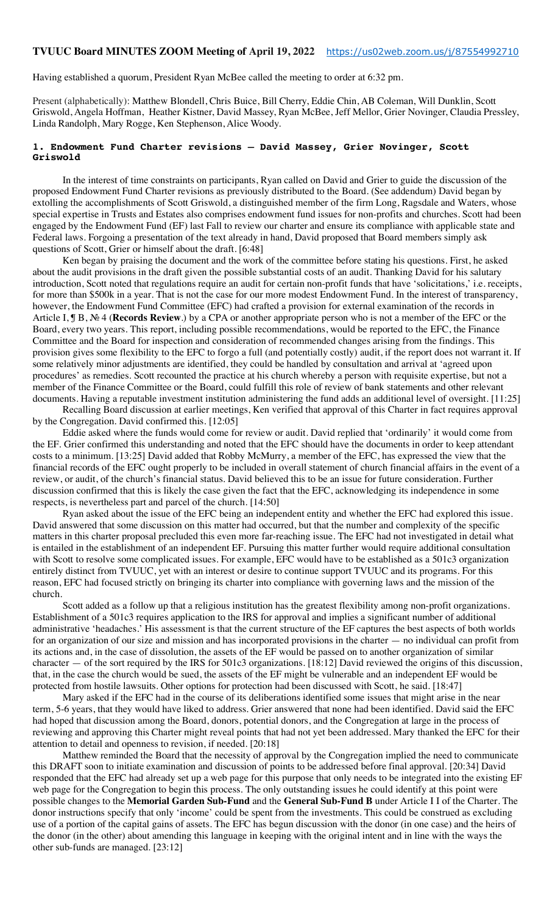#### **TVUUC Board MINUTES ZOOM Meeting of April 19, 2022** https://us02web.zoom.us/j/87554992710

Having established a quorum, President Ryan McBee called the meeting to order at 6:32 pm.

Present (alphabetically): Matthew Blondell, Chris Buice, Bill Cherry, Eddie Chin, AB Coleman, Will Dunklin, Scott Griswold, Angela Hoffman, Heather Kistner, David Massey, Ryan McBee, Jeff Mellor, Grier Novinger, Claudia Pressley, Linda Randolph, Mary Rogge, Ken Stephenson, Alice Woody.

#### **1. Endowment Fund Charter revisions — David Massey, Grier Novinger, Scott Griswold**

In the interest of time constraints on participants, Ryan called on David and Grier to guide the discussion of the proposed Endowment Fund Charter revisions as previously distributed to the Board. (See addendum) David began by extolling the accomplishments of Scott Griswold, a distinguished member of the firm Long, Ragsdale and Waters, whose special expertise in Trusts and Estates also comprises endowment fund issues for non-profits and churches. Scott had been engaged by the Endowment Fund (EF) last Fall to review our charter and ensure its compliance with applicable state and Federal laws. Forgoing a presentation of the text already in hand, David proposed that Board members simply ask questions of Scott, Grier or himself about the draft. [6:48]

Ken began by praising the document and the work of the committee before stating his questions. First, he asked about the audit provisions in the draft given the possible substantial costs of an audit. Thanking David for his salutary introduction, Scott noted that regulations require an audit for certain non-profit funds that have 'solicitations,' i.e. receipts, for more than \$500k in a year. That is not the case for our more modest Endowment Fund. In the interest of transparency, however, the Endowment Fund Committee (EFC) had crafted a provision for external examination of the records in Article I, ¶ B, № 4 (**Records Review**.) by a CPA or another appropriate person who is not a member of the EFC or the Board, every two years. This report, including possible recommendations, would be reported to the EFC, the Finance Committee and the Board for inspection and consideration of recommended changes arising from the findings. This provision gives some flexibility to the EFC to forgo a full (and potentially costly) audit, if the report does not warrant it. If some relatively minor adjustments are identified, they could be handled by consultation and arrival at 'agreed upon procedures' as remedies. Scott recounted the practice at his church whereby a person with requisite expertise, but not a member of the Finance Committee or the Board, could fulfill this role of review of bank statements and other relevant documents. Having a reputable investment institution administering the fund adds an additional level of oversight. [11:25]

Recalling Board discussion at earlier meetings, Ken verified that approval of this Charter in fact requires approval by the Congregation. David confirmed this. [12:05]

Eddie asked where the funds would come for review or audit. David replied that 'ordinarily' it would come from the EF. Grier confirmed this understanding and noted that the EFC should have the documents in order to keep attendant costs to a minimum. [13:25] David added that Robby McMurry, a member of the EFC, has expressed the view that the financial records of the EFC ought properly to be included in overall statement of church financial affairs in the event of a review, or audit, of the church's financial status. David believed this to be an issue for future consideration. Further discussion confirmed that this is likely the case given the fact that the EFC, acknowledging its independence in some respects, is nevertheless part and parcel of the church. [14:50]

Ryan asked about the issue of the EFC being an independent entity and whether the EFC had explored this issue. David answered that some discussion on this matter had occurred, but that the number and complexity of the specific matters in this charter proposal precluded this even more far-reaching issue. The EFC had not investigated in detail what is entailed in the establishment of an independent EF. Pursuing this matter further would require additional consultation with Scott to resolve some complicated issues. For example, EFC would have to be established as a 501c3 organization entirely distinct from TVUUC, yet with an interest or desire to continue support TVUUC and its programs. For this reason, EFC had focused strictly on bringing its charter into compliance with governing laws and the mission of the church.

Scott added as a follow up that a religious institution has the greatest flexibility among non-profit organizations. Establishment of a 501c3 requires application to the IRS for approval and implies a significant number of additional administrative 'headaches.' His assessment is that the current structure of the EF captures the best aspects of both worlds for an organization of our size and mission and has incorporated provisions in the charter — no individual can profit from its actions and, in the case of dissolution, the assets of the EF would be passed on to another organization of similar character — of the sort required by the IRS for 501c3 organizations. [18:12] David reviewed the origins of this discussion, that, in the case the church would be sued, the assets of the EF might be vulnerable and an independent EF would be protected from hostile lawsuits. Other options for protection had been discussed with Scott, he said. [18:47]

Mary asked if the EFC had in the course of its deliberations identified some issues that might arise in the near term, 5-6 years, that they would have liked to address. Grier answered that none had been identified. David said the EFC had hoped that discussion among the Board, donors, potential donors, and the Congregation at large in the process of reviewing and approving this Charter might reveal points that had not yet been addressed. Mary thanked the EFC for their attention to detail and openness to revision, if needed. [20:18]

Matthew reminded the Board that the necessity of approval by the Congregation implied the need to communicate this DRAFT soon to initiate examination and discussion of points to be addressed before final approval. [20:34] David responded that the EFC had already set up a web page for this purpose that only needs to be integrated into the existing EF web page for the Congregation to begin this process. The only outstanding issues he could identify at this point were possible changes to the **Memorial Garden Sub-Fund** and the **General Sub-Fund B** under Article I I of the Charter. The donor instructions specify that only 'income' could be spent from the investments. This could be construed as excluding use of a portion of the capital gains of assets. The EFC has begun discussion with the donor (in one case) and the heirs of the donor (in the other) about amending this language in keeping with the original intent and in line with the ways the other sub-funds are managed. [23:12]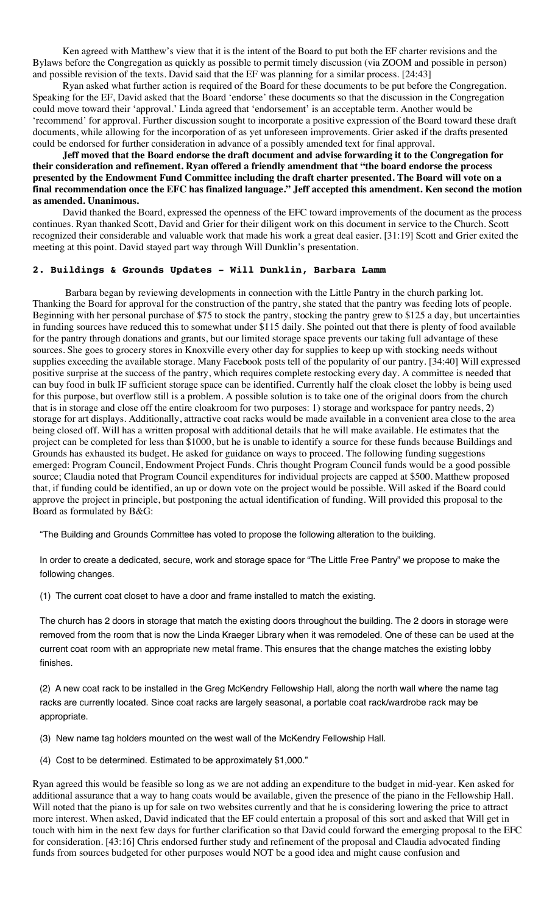Ken agreed with Matthew's view that it is the intent of the Board to put both the EF charter revisions and the Bylaws before the Congregation as quickly as possible to permit timely discussion (via ZOOM and possible in person) and possible revision of the texts. David said that the EF was planning for a similar process. [24:43]

Ryan asked what further action is required of the Board for these documents to be put before the Congregation. Speaking for the EF, David asked that the Board 'endorse' these documents so that the discussion in the Congregation could move toward their 'approval.' Linda agreed that 'endorsement' is an acceptable term. Another would be 'recommend' for approval. Further discussion sought to incorporate a positive expression of the Board toward these draft documents, while allowing for the incorporation of as yet unforeseen improvements. Grier asked if the drafts presented could be endorsed for further consideration in advance of a possibly amended text for final approval.

**Jeff moved that the Board endorse the draft document and advise forwarding it to the Congregation for their consideration and refinement. Ryan offered a friendly amendment that "the board endorse the process presented by the Endowment Fund Committee including the draft charter presented. The Board will vote on a final recommendation once the EFC has finalized language." Jeff accepted this amendment. Ken second the motion as amended. Unanimous.**

David thanked the Board, expressed the openness of the EFC toward improvements of the document as the process continues. Ryan thanked Scott, David and Grier for their diligent work on this document in service to the Church. Scott recognized their considerable and valuable work that made his work a great deal easier. [31:19] Scott and Grier exited the meeting at this point. David stayed part way through Will Dunklin's presentation.

## **2. Buildings & Grounds Updates - Will Dunklin, Barbara Lamm**

Barbara began by reviewing developments in connection with the Little Pantry in the church parking lot. Thanking the Board for approval for the construction of the pantry, she stated that the pantry was feeding lots of people. Beginning with her personal purchase of \$75 to stock the pantry, stocking the pantry grew to \$125 a day, but uncertainties in funding sources have reduced this to somewhat under \$115 daily. She pointed out that there is plenty of food available for the pantry through donations and grants, but our limited storage space prevents our taking full advantage of these sources. She goes to grocery stores in Knoxville every other day for supplies to keep up with stocking needs without supplies exceeding the available storage. Many Facebook posts tell of the popularity of our pantry. [34:40] Will expressed positive surprise at the success of the pantry, which requires complete restocking every day. A committee is needed that can buy food in bulk IF sufficient storage space can be identified. Currently half the cloak closet the lobby is being used for this purpose, but overflow still is a problem. A possible solution is to take one of the original doors from the church that is in storage and close off the entire cloakroom for two purposes: 1) storage and workspace for pantry needs, 2) storage for art displays. Additionally, attractive coat racks would be made available in a convenient area close to the area being closed off. Will has a written proposal with additional details that he will make available. He estimates that the project can be completed for less than \$1000, but he is unable to identify a source for these funds because Buildings and Grounds has exhausted its budget. He asked for guidance on ways to proceed. The following funding suggestions emerged: Program Council, Endowment Project Funds. Chris thought Program Council funds would be a good possible source; Claudia noted that Program Council expenditures for individual projects are capped at \$500. Matthew proposed that, if funding could be identified, an up or down vote on the project would be possible. Will asked if the Board could approve the project in principle, but postponing the actual identification of funding. Will provided this proposal to the Board as formulated by B&G:

"The Building and Grounds Committee has voted to propose the following alteration to the building.

In order to create a dedicated, secure, work and storage space for "The Little Free Pantry" we propose to make the following changes.

(1) The current coat closet to have a door and frame installed to match the existing.

The church has 2 doors in storage that match the existing doors throughout the building. The 2 doors in storage were removed from the room that is now the Linda Kraeger Library when it was remodeled. One of these can be used at the current coat room with an appropriate new metal frame. This ensures that the change matches the existing lobby finishes.

(2) A new coat rack to be installed in the Greg McKendry Fellowship Hall, along the north wall where the name tag racks are currently located. Since coat racks are largely seasonal, a portable coat rack/wardrobe rack may be appropriate.

(3) New name tag holders mounted on the west wall of the McKendry Fellowship Hall.

(4) Cost to be determined. Estimated to be approximately \$1,000."

Ryan agreed this would be feasible so long as we are not adding an expenditure to the budget in mid-year. Ken asked for additional assurance that a way to hang coats would be available, given the presence of the piano in the Fellowship Hall. Will noted that the piano is up for sale on two websites currently and that he is considering lowering the price to attract more interest. When asked, David indicated that the EF could entertain a proposal of this sort and asked that Will get in touch with him in the next few days for further clarification so that David could forward the emerging proposal to the EFC for consideration. [43:16] Chris endorsed further study and refinement of the proposal and Claudia advocated finding funds from sources budgeted for other purposes would NOT be a good idea and might cause confusion and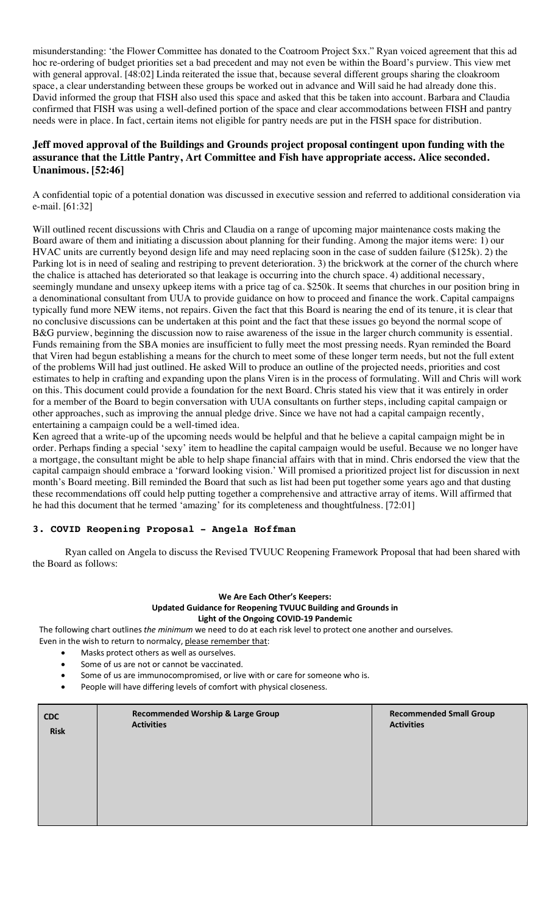misunderstanding: 'the Flower Committee has donated to the Coatroom Project \$xx." Ryan voiced agreement that this ad hoc re-ordering of budget priorities set a bad precedent and may not even be within the Board's purview. This view met with general approval. [48:02] Linda reiterated the issue that, because several different groups sharing the cloakroom space, a clear understanding between these groups be worked out in advance and Will said he had already done this. David informed the group that FISH also used this space and asked that this be taken into account. Barbara and Claudia confirmed that FISH was using a well-defined portion of the space and clear accommodations between FISH and pantry needs were in place. In fact, certain items not eligible for pantry needs are put in the FISH space for distribution.

## **Jeff moved approval of the Buildings and Grounds project proposal contingent upon funding with the assurance that the Little Pantry, Art Committee and Fish have appropriate access. Alice seconded. Unanimous. [52:46]**

A confidential topic of a potential donation was discussed in executive session and referred to additional consideration via e-mail. [61:32]

Will outlined recent discussions with Chris and Claudia on a range of upcoming major maintenance costs making the Board aware of them and initiating a discussion about planning for their funding. Among the major items were: 1) our HVAC units are currently beyond design life and may need replacing soon in the case of sudden failure (\$125k). 2) the Parking lot is in need of sealing and restriping to prevent deterioration. 3) the brickwork at the corner of the church where the chalice is attached has deteriorated so that leakage is occurring into the church space. 4) additional necessary, seemingly mundane and unsexy upkeep items with a price tag of ca. \$250k. It seems that churches in our position bring in a denominational consultant from UUA to provide guidance on how to proceed and finance the work. Capital campaigns typically fund more NEW items, not repairs. Given the fact that this Board is nearing the end of its tenure, it is clear that no conclusive discussions can be undertaken at this point and the fact that these issues go beyond the normal scope of B&G purview, beginning the discussion now to raise awareness of the issue in the larger church community is essential. Funds remaining from the SBA monies are insufficient to fully meet the most pressing needs. Ryan reminded the Board that Viren had begun establishing a means for the church to meet some of these longer term needs, but not the full extent of the problems Will had just outlined. He asked Will to produce an outline of the projected needs, priorities and cost estimates to help in crafting and expanding upon the plans Viren is in the process of formulating. Will and Chris will work on this. This document could provide a foundation for the next Board. Chris stated his view that it was entirely in order for a member of the Board to begin conversation with UUA consultants on further steps, including capital campaign or other approaches, such as improving the annual pledge drive. Since we have not had a capital campaign recently, entertaining a campaign could be a well-timed idea.

Ken agreed that a write-up of the upcoming needs would be helpful and that he believe a capital campaign might be in order. Perhaps finding a special 'sexy' item to headline the capital campaign would be useful. Because we no longer have a mortgage, the consultant might be able to help shape financial affairs with that in mind. Chris endorsed the view that the capital campaign should embrace a 'forward looking vision.' Will promised a prioritized project list for discussion in next month's Board meeting. Bill reminded the Board that such as list had been put together some years ago and that dusting these recommendations off could help putting together a comprehensive and attractive array of items. Will affirmed that he had this document that he termed 'amazing' for its completeness and thoughtfulness. [72:01]

## **3. COVID Reopening Proposal - Angela Hoffman**

Ryan called on Angela to discuss the Revised TVUUC Reopening Framework Proposal that had been shared with the Board as follows:

#### **We Are Each Other's Keepers: Updated Guidance for Reopening TVUUC Building and Grounds in Light of the Ongoing COVID-19 Pandemic**

The following chart outlines *the minimum* we need to do at each risk level to protect one another and ourselves. Even in the wish to return to normalcy, please remember that:

- Masks protect others as well as ourselves.
- Some of us are not or cannot be vaccinated.
- Some of us are immunocompromised, or live with or care for someone who is.
- People will have differing levels of comfort with physical closeness.

| <b>CDC</b>  | <b>Recommended Worship &amp; Large Group</b> | <b>Recommended Small Group</b> |
|-------------|----------------------------------------------|--------------------------------|
| <b>Risk</b> | <b>Activities</b>                            | <b>Activities</b>              |
|             |                                              |                                |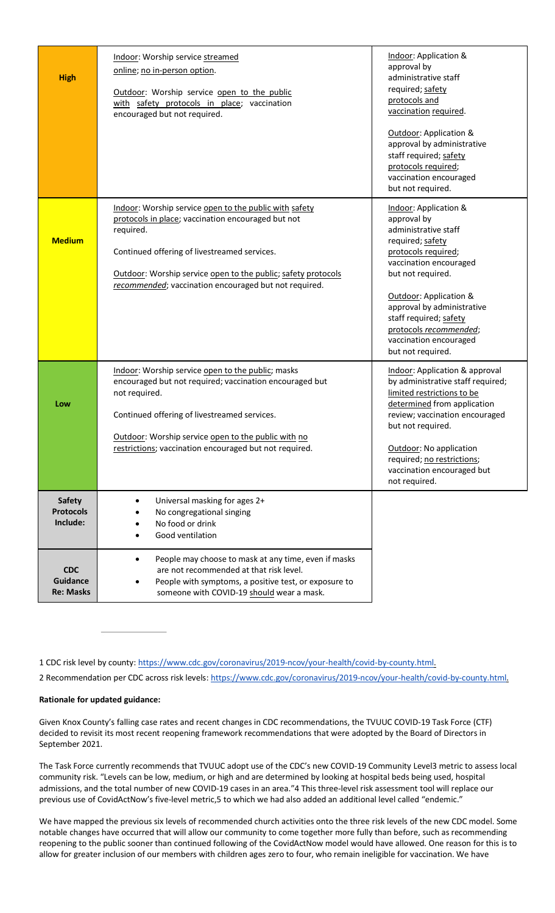| <b>High</b>                                       | Indoor: Worship service streamed<br>online; no in-person option.<br>Outdoor: Worship service open to the public<br>with safety protocols in place; vaccination<br>encouraged but not required.                                                                                                      | Indoor: Application &<br>approval by<br>administrative staff<br>required; safety<br>protocols and<br>vaccination required.<br>Outdoor: Application &<br>approval by administrative                                                                                                                                |
|---------------------------------------------------|-----------------------------------------------------------------------------------------------------------------------------------------------------------------------------------------------------------------------------------------------------------------------------------------------------|-------------------------------------------------------------------------------------------------------------------------------------------------------------------------------------------------------------------------------------------------------------------------------------------------------------------|
|                                                   |                                                                                                                                                                                                                                                                                                     | staff required; safety<br>protocols required;<br>vaccination encouraged<br>but not required.                                                                                                                                                                                                                      |
| <b>Medium</b>                                     | Indoor: Worship service open to the public with safety<br>protocols in place; vaccination encouraged but not<br>required.<br>Continued offering of livestreamed services.<br>Outdoor: Worship service open to the public; safety protocols<br>recommended; vaccination encouraged but not required. | Indoor: Application &<br>approval by<br>administrative staff<br>required; safety<br>protocols required;<br>vaccination encouraged<br>but not required.<br>Outdoor: Application &<br>approval by administrative<br>staff required; safety<br>protocols recommended;<br>vaccination encouraged<br>but not required. |
| Low                                               | Indoor: Worship service open to the public; masks<br>encouraged but not required; vaccination encouraged but<br>not required.<br>Continued offering of livestreamed services.<br>Outdoor: Worship service open to the public with no<br>restrictions; vaccination encouraged but not required.      | Indoor: Application & approval<br>by administrative staff required;<br>limited restrictions to be<br>determined from application<br>review; vaccination encouraged<br>but not required.<br>Outdoor: No application<br>required; no restrictions;<br>vaccination encouraged but<br>not required.                   |
| <b>Safety</b><br><b>Protocols</b><br>Include:     | Universal masking for ages 2+<br>No congregational singing<br>No food or drink<br>Good ventilation                                                                                                                                                                                                  |                                                                                                                                                                                                                                                                                                                   |
| <b>CDC</b><br><b>Guidance</b><br><b>Re: Masks</b> | People may choose to mask at any time, even if masks<br>are not recommended at that risk level.<br>People with symptoms, a positive test, or exposure to<br>someone with COVID-19 should wear a mask.                                                                                               |                                                                                                                                                                                                                                                                                                                   |

1 CDC risk level by county: https://www.cdc.gov/coronavirus/2019-ncov/your-health/covid-by-county.html.

2 Recommendation per CDC across risk levels: https://www.cdc.gov/coronavirus/2019-ncov/your-health/covid-by-county.html.

## **Rationale for updated guidance:**

Given Knox County's falling case rates and recent changes in CDC recommendations, the TVUUC COVID-19 Task Force (CTF) decided to revisit its most recent reopening framework recommendations that were adopted by the Board of Directors in September 2021.

The Task Force currently recommends that TVUUC adopt use of the CDC's new COVID-19 Community Level3 metric to assess local community risk. "Levels can be low, medium, or high and are determined by looking at hospital beds being used, hospital admissions, and the total number of new COVID-19 cases in an area."4 This three-level risk assessment tool will replace our previous use of CovidActNow's five-level metric,5 to which we had also added an additional level called "endemic."

We have mapped the previous six levels of recommended church activities onto the three risk levels of the new CDC model. Some notable changes have occurred that will allow our community to come together more fully than before, such as recommending reopening to the public sooner than continued following of the CovidActNow model would have allowed. One reason for this is to allow for greater inclusion of our members with children ages zero to four, who remain ineligible for vaccination. We have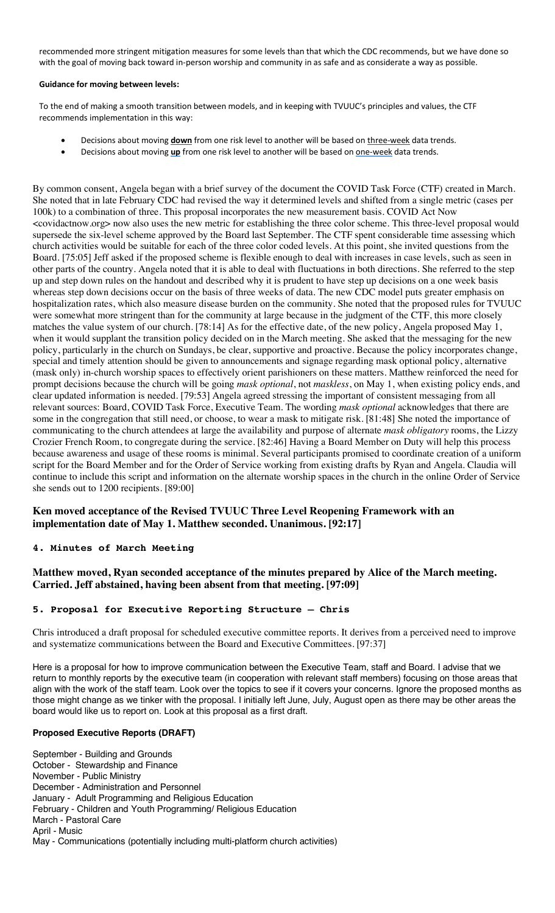recommended more stringent mitigation measures for some levels than that which the CDC recommends, but we have done so with the goal of moving back toward in-person worship and community in as safe and as considerate a way as possible.

#### **Guidance for moving between levels:**

To the end of making a smooth transition between models, and in keeping with TVUUC's principles and values, the CTF recommends implementation in this way:

- Decisions about moving **down** from one risk level to another will be based on three-week data trends.
- Decisions about moving up from one risk level to another will be based on one-week data trends.

By common consent, Angela began with a brief survey of the document the COVID Task Force (CTF) created in March. She noted that in late February CDC had revised the way it determined levels and shifted from a single metric (cases per 100k) to a combination of three. This proposal incorporates the new measurement basis. COVID Act Now <covidactnow.org> now also uses the new metric for establishing the three color scheme. This three-level proposal would supersede the six-level scheme approved by the Board last September. The CTF spent considerable time assessing which church activities would be suitable for each of the three color coded levels. At this point, she invited questions from the Board. [75:05] Jeff asked if the proposed scheme is flexible enough to deal with increases in case levels, such as seen in other parts of the country. Angela noted that it is able to deal with fluctuations in both directions. She referred to the step up and step down rules on the handout and described why it is prudent to have step up decisions on a one week basis whereas step down decisions occur on the basis of three weeks of data. The new CDC model puts greater emphasis on hospitalization rates, which also measure disease burden on the community. She noted that the proposed rules for TVUUC were somewhat more stringent than for the community at large because in the judgment of the CTF, this more closely matches the value system of our church. [78:14] As for the effective date, of the new policy, Angela proposed May 1, when it would supplant the transition policy decided on in the March meeting. She asked that the messaging for the new policy, particularly in the church on Sundays, be clear, supportive and proactive. Because the policy incorporates change, special and timely attention should be given to announcements and signage regarding mask optional policy, alternative (mask only) in-church worship spaces to effectively orient parishioners on these matters. Matthew reinforced the need for prompt decisions because the church will be going *mask optional*, not *maskless*, on May 1, when existing policy ends, and clear updated information is needed. [79:53] Angela agreed stressing the important of consistent messaging from all relevant sources: Board, COVID Task Force, Executive Team. The wording *mask optional* acknowledges that there are some in the congregation that still need, or choose, to wear a mask to mitigate risk. [81:48] She noted the importance of communicating to the church attendees at large the availability and purpose of alternate *mask obligatory* rooms, the Lizzy Crozier French Room, to congregate during the service. [82:46] Having a Board Member on Duty will help this process because awareness and usage of these rooms is minimal. Several participants promised to coordinate creation of a uniform script for the Board Member and for the Order of Service working from existing drafts by Ryan and Angela. Claudia will continue to include this script and information on the alternate worship spaces in the church in the online Order of Service she sends out to 1200 recipients. [89:00]

## **Ken moved acceptance of the Revised TVUUC Three Level Reopening Framework with an implementation date of May 1. Matthew seconded. Unanimous. [92:17]**

## **4. Minutes of March Meeting**

## **Matthew moved, Ryan seconded acceptance of the minutes prepared by Alice of the March meeting. Carried. Jeff abstained, having been absent from that meeting. [97:09]**

## **5. Proposal for Executive Reporting Structure – Chris**

Chris introduced a draft proposal for scheduled executive committee reports. It derives from a perceived need to improve and systematize communications between the Board and Executive Committees. [97:37]

Here is a proposal for how to improve communication between the Executive Team, staff and Board. I advise that we return to monthly reports by the executive team (in cooperation with relevant staff members) focusing on those areas that align with the work of the staff team. Look over the topics to see if it covers your concerns. Ignore the proposed months as those might change as we tinker with the proposal. I initially left June, July, August open as there may be other areas the board would like us to report on. Look at this proposal as a first draft.

## **Proposed Executive Reports (DRAFT)**

September - Building and Grounds October - Stewardship and Finance November - Public Ministry December - Administration and Personnel January - Adult Programming and Religious Education February - Children and Youth Programming/ Religious Education March - Pastoral Care April - Music May - Communications (potentially including multi-platform church activities)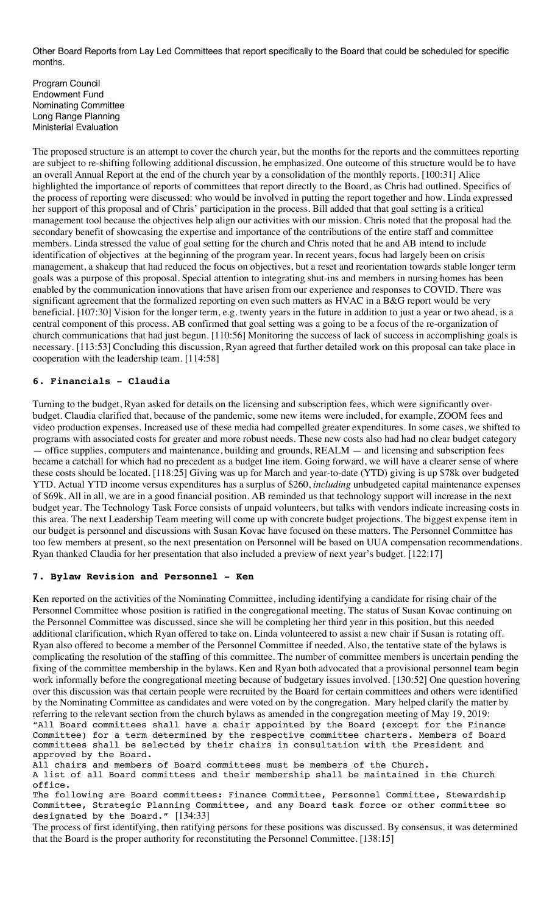Other Board Reports from Lay Led Committees that report specifically to the Board that could be scheduled for specific months.

Program Council Endowment Fund Nominating Committee Long Range Planning Ministerial Evaluation

The proposed structure is an attempt to cover the church year, but the months for the reports and the committees reporting are subject to re-shifting following additional discussion, he emphasized. One outcome of this structure would be to have an overall Annual Report at the end of the church year by a consolidation of the monthly reports. [100:31] Alice highlighted the importance of reports of committees that report directly to the Board, as Chris had outlined. Specifics of the process of reporting were discussed: who would be involved in putting the report together and how. Linda expressed her support of this proposal and of Chris' participation in the process. Bill added that that goal setting is a critical management tool because the objectives help align our activities with our mission. Chris noted that the proposal had the secondary benefit of showcasing the expertise and importance of the contributions of the entire staff and committee members. Linda stressed the value of goal setting for the church and Chris noted that he and AB intend to include identification of objectives at the beginning of the program year. In recent years, focus had largely been on crisis management, a shakeup that had reduced the focus on objectives, but a reset and reorientation towards stable longer term goals was a purpose of this proposal. Special attention to integrating shut-ins and members in nursing homes has been enabled by the communication innovations that have arisen from our experience and responses to COVID. There was significant agreement that the formalized reporting on even such matters as HVAC in a B&G report would be very beneficial. [107:30] Vision for the longer term, e.g. twenty years in the future in addition to just a year or two ahead, is a central component of this process. AB confirmed that goal setting was a going to be a focus of the re-organization of church communications that had just begun. [110:56] Monitoring the success of lack of success in accomplishing goals is necessary. [113:53] Concluding this discussion, Ryan agreed that further detailed work on this proposal can take place in cooperation with the leadership team. [114:58]

## **6. Financials - Claudia**

Turning to the budget, Ryan asked for details on the licensing and subscription fees, which were significantly overbudget. Claudia clarified that, because of the pandemic, some new items were included, for example, ZOOM fees and video production expenses. Increased use of these media had compelled greater expenditures. In some cases, we shifted to programs with associated costs for greater and more robust needs. These new costs also had had no clear budget category — office supplies, computers and maintenance, building and grounds, REALM — and licensing and subscription fees became a catchall for which had no precedent as a budget line item. Going forward, we will have a clearer sense of where these costs should be located. [118:25] Giving was up for March and year-to-date (YTD) giving is up \$78k over budgeted YTD. Actual YTD income versus expenditures has a surplus of \$260, *including* unbudgeted capital maintenance expenses of \$69k. All in all, we are in a good financial position. AB reminded us that technology support will increase in the next budget year. The Technology Task Force consists of unpaid volunteers, but talks with vendors indicate increasing costs in this area. The next Leadership Team meeting will come up with concrete budget projections. The biggest expense item in our budget is personnel and discussions with Susan Kovac have focused on these matters. The Personnel Committee has too few members at present, so the next presentation on Personnel will be based on UUA compensation recommendations. Ryan thanked Claudia for her presentation that also included a preview of next year's budget. [122:17]

## **7. Bylaw Revision and Personnel - Ken**

Ken reported on the activities of the Nominating Committee, including identifying a candidate for rising chair of the Personnel Committee whose position is ratified in the congregational meeting. The status of Susan Kovac continuing on the Personnel Committee was discussed, since she will be completing her third year in this position, but this needed additional clarification, which Ryan offered to take on. Linda volunteered to assist a new chair if Susan is rotating off. Ryan also offered to become a member of the Personnel Committee if needed. Also, the tentative state of the bylaws is complicating the resolution of the staffing of this committee. The number of committee members is uncertain pending the fixing of the committee membership in the bylaws. Ken and Ryan both advocated that a provisional personnel team begin work informally before the congregational meeting because of budgetary issues involved. [130:52] One question hovering over this discussion was that certain people were recruited by the Board for certain committees and others were identified by the Nominating Committee as candidates and were voted on by the congregation. Mary helped clarify the matter by referring to the relevant section from the church bylaws as amended in the congregation meeting of May 19, 2019: "All Board committees shall have a chair appointed by the Board (except for the Finance Committee) for a term determined by the respective committee charters. Members of Board committees shall be selected by their chairs in consultation with the President and approved by the Board.

All chairs and members of Board committees must be members of the Church. A list of all Board committees and their membership shall be maintained in the Church office.

The following are Board committees: Finance Committee, Personnel Committee, Stewardship Committee, Strategic Planning Committee, and any Board task force or other committee so designated by the Board." [134:33]

The process of first identifying, then ratifying persons for these positions was discussed. By consensus, it was determined that the Board is the proper authority for reconstituting the Personnel Committee. [138:15]